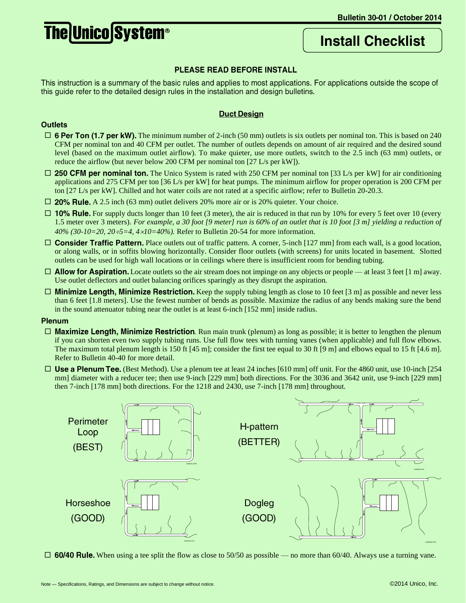# **The Unico System®**

# **Install Checklist**

# PLEASE READ BEFORE INSTALL

This instruction is a summary of the basic rules and applies to most applications. For applications outside the scope of this guide refer to the detailed design rules in the installation and design bulletins.

## **Duct Design**

#### **Outlets**

- $\Box$  6 Per Ton (1.7 per kW). The minimum number of 2-inch (50 mm) outlets is six outlets per nominal ton. This is based on 240 CFM per nominal ton and 40 CFM per outlet. The number of outlets depends on amount of air required and the desired sound level (based on the maximum outlet airflow). To make quieter, use more outlets, switch to the 2.5 inch (63 mm) outlets, or reduce the airflow (but never below 200 CFM per nominal ton [27 L/s per kW]).
- $\Box$  250 CFM per nominal ton. The Unico System is rated with 250 CFM per nominal ton [33 L/s per kW] for air conditioning applications and 275 CFM per ton [36 L/s per kW] for heat pumps. The minimum airflow for proper operation is 200 CFM per ton [27 L/s per kW]. Chilled and hot water coils are not rated at a specific airflow; refer to Bulletin 20-20.3.
- $\Box$  20% Rule. A 2.5 inch (63 mm) outlet delivers 20% more air or is 20% quieter. Your choice.
- $\Box$  10% Rule. For supply ducts longer than 10 feet (3 meter), the air is reduced in that run by 10% for every 5 feet over 10 (every 1.5 meter over 3 meters). *For example, a 30 foot [9 meter] run is 60% of an outlet that is 10 foot [3 m] yielding a reduction of 40% (30-10=20, 205=4, 410=40%).* Refer to Bulletin 20-54 for more information.
- $\Box$  Consider Traffic Pattern. Place outlets out of traffic pattern. A corner, 5-inch [127 mm] from each wall, is a good location, or along walls, or in soffits blowing horizontally. Consider floor outlets (with screens) for units located in basement. Slotted outlets can be used for high wall locations or in ceilings where there is insufficient room for bending tubing.
- $\Box$  Allow for Aspiration. Locate outlets so the air stream does not impinge on any objects or people at least 3 feet [1 m] away. Use outlet deflectors and outlet balancing orifices sparingly as they disrupt the aspiration.
- $\Box$  Minimize Length, Minimize Restriction. Keep the supply tubing length as close to 10 feet [3 m] as possible and never less than 6 feet [1.8 meters]. Use the fewest number of bends as possible. Maximize the radius of any bends making sure the bend in the sound attenuator tubing near the outlet is at least 6-inch [152 mm] inside radius.

#### **Plenum**

- $\Box$  Maximize Length, Minimize Restriction. Run main trunk (plenum) as long as possible; it is better to lengthen the plenum if you can shorten even two supply tubing runs. Use full flow tees with turning vanes (when applicable) and full flow elbows. The maximum total plenum length is 150 ft [45 m]; consider the first tee equal to 30 ft [9 m] and elbows equal to 15 ft [4.6 m]. Refer to Bulletin 40-40 for more detail.
- $\Box$  Use a Plenum Tee. (Best Method). Use a plenum tee at least 24 inches [610 mm] off unit. For the 4860 unit, use 10-inch [254] mm] diameter with a reducer tee; then use 9-inch [229 mm] both directions. For the 3036 and 3642 unit, use 9-inch [229 mm] then 7-inch [178 mm] both directions. For the 1218 and 2430, use 7-inch [178 mm] throughout.



 $\Box$  60/40 Rule. When using a tee split the flow as close to 50/50 as possible — no more than 60/40. Always use a turning vane.